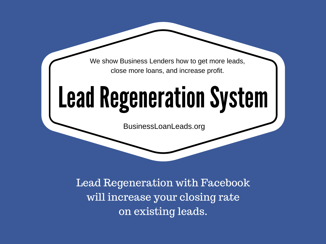We show Business Lenders how to get more leads, close more loans, and increase profit.

# **Lead Regeneration System**

BusinessLoanLeads.org

Lead Regeneration with Facebook will increase your closing rate on existing leads.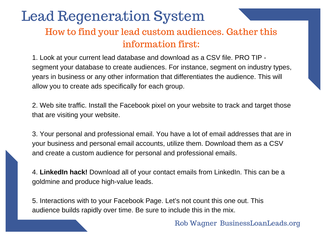### Lead Regeneration System How to find your lead custom audiences. Gather this information first:

1. Look at your current lead database and download as a CSV file. PRO TIP segment your database to create audiences. For instance, segment on industry types, years in business or any other information that differentiates the audience. This will allow you to create ads specifically for each group.

2. Web site traffic. Install the Facebook pixel on your website to track and target those that are visiting your website.

3. Your personal and professional email. You have a lot of email addresses that are in your business and personal email accounts, utilize them. Download them as a CSV and create a custom audience for personal and professional emails.

4. **LinkedIn hack!** Download all of your contact emails from LinkedIn. This can be a goldmine and produce high-value leads.

5. Interactions with to your Facebook Page. Let's not count this one out. This audience builds rapidly over time. Be sure to include this in the mix.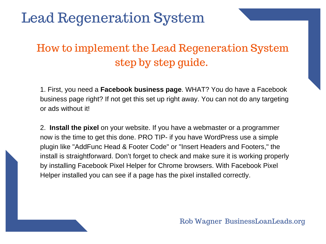### How to implement the Lead Regeneration System step by step guide.

1. First, you need a **Facebook business page**. WHAT? You do have a Facebook business page right? If not get this set up right away. You can not do any targeting or ads without it!

2. **Install the pixel** on your website. If you have a webmaster or a programmer now is the time to get this done. PRO TIP- if you have WordPress use a simple plugin like "AddFunc Head & Footer Code" or "Insert Headers and Footers," the install is straightforward. Don't forget to check and make sure it is working properly by installing Facebook Pixel Helper for Chrome browsers. With Facebook Pixel Helper installed you can see if a page has the pixel installed correctly.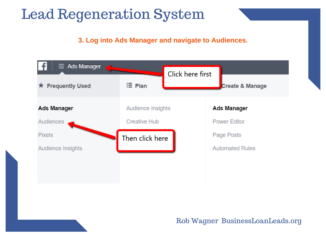**3. Log into Ads Manager and navigate to Audiences.**

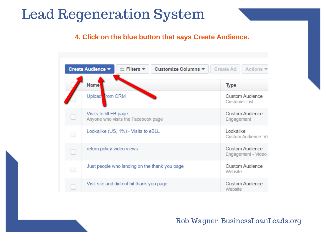#### **4. Click on the blue button that says Create Audience.**

| Create Audience ▼<br>$=$ Filters $\blacktriangledown$<br>Customize Columns ▼ | <b>Create Ad</b><br>Actions $\blacktriangledown$ |
|------------------------------------------------------------------------------|--------------------------------------------------|
| Name                                                                         | <b>Type</b>                                      |
| Upload From CRM                                                              | Custom Audience<br>Customer List                 |
| Visits to bll FB page<br>Anyone who visits the Facebook page                 | Custom Audience<br>Engagement                    |
| Lookalike (US, 1%) - Visits to eBLL                                          | Lookalike<br>Custom Audience: Vis                |
| return policy video views                                                    | Custom Audience<br>Engagement - Video            |
| Just people who landing on the thank you page                                | Custom Audience<br>Website                       |
| Visit site and did not hit thank you page                                    | Custom Audience<br>Website                       |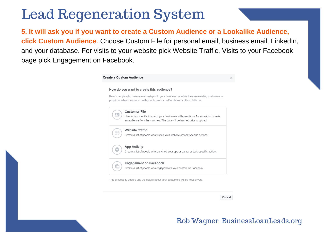**5. It will ask you if you want to create a Custom Audience or a Lookalike Audience, click Custom Audience**. Choose Custom File for personal email, business email, LinkedIn, and your database. For visits to your website pick Website Traffic. Visits to your Facebook page pick Engagement on Facebook.

|  | Create a Custom Audience                                                                                                                                                                                                     | × |
|--|------------------------------------------------------------------------------------------------------------------------------------------------------------------------------------------------------------------------------|---|
|  | How do you want to create this audience?<br>Reach people who have a relationship with your business, whether they are existing customers or<br>people who have interacted with your business on Facebook or other platforms. |   |
|  | <b>Customer File</b><br>Use a customer file to match your customers with people on Facebook and create<br>an audience from the matches. The data will be hashed prior to upload.                                             |   |
|  | <b>Website Traffic</b><br>Create a list of people who visited your website or took specific actions.                                                                                                                         |   |
|  | <b>App Activity</b><br>Create a list of people who launched your app or game, or took specific actions.                                                                                                                      |   |
|  | <b>Engagement on Facebook</b><br>Create a list of people who engaged with your content on Facebook.                                                                                                                          |   |
|  | This process is secure and the details about your customers will be kept private.                                                                                                                                            |   |

Cancel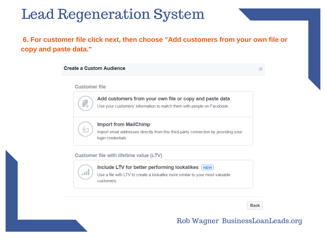### **6. For customer file click next, then choose "Add customers from your own file or copy and paste data."**

#### Create a Custom Audience

×

#### **Customer file**

#### Add customers from your own file or copy and paste data

Use your customers' information to match them with people on Facebook.



#### **Import from MailChimp**

Import email addresses directly from this third-party connection by providing your login credentials.

Customer file with lifetime value (LTV)



Include LTV for better performing lookalikes NEW

Use a file with LTV to create a lookalike more similar to your most valuable customers

**Back**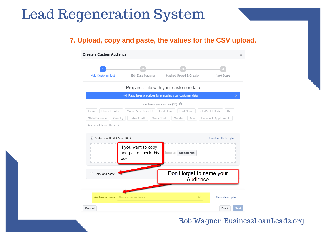#### **7. Upload, copy and paste, the values for the CSV upload.**

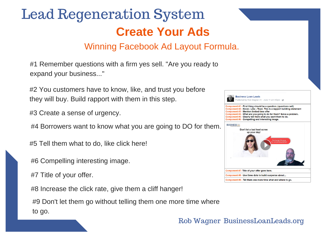# Lead Regeneration System **Create Your Ads**

### Winning Facebook Ad Layout Formula.

#1 Remember questions with a firm yes sell. "Are you ready to expand your business..."

#2 You customers have to know, like, and trust you before they will buy. Build rapport with them in this step.

#3 Create a sense of urgency.

#4 Borrowers want to know what you are going to DO for them.

#5 Tell them what to do, like click here!

#6 Compelling interesting image.

#7 Title of your offer.

#8 Increase the click rate, give them a cliff hanger!

#9 Don't let them go without telling them one more time where to go.

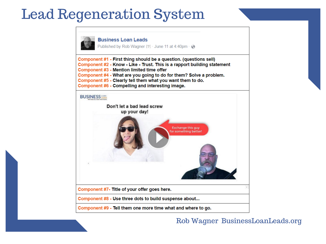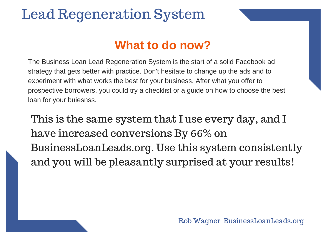### **What to do now?**

The Business Loan Lead Regeneration System is the start of a solid Facebook ad strategy that gets better with practice. Don't hesitate to change up the ads and to experiment with what works the best for your business. After what you offer to prospective borrowers, you could try a checklist or a guide on how to choose the best loan for your buiesnss.

This is the same system that I use every day, and I have increased conversions By 66% on BusinessLoanLeads.org. Use this system consistently and you will be pleasantly surprised at your results!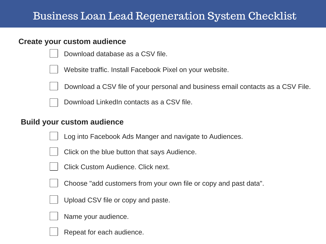### Business Loan Lead Regeneration System Checklist

#### **Create your custom audience**

Download database as a CSV file.



Website traffic. Install Facebook Pixel on your website.



- Download a CSV file of your personal and business email contacts as a CSV File.
- Download LinkedIn contacts as a CSV file.

### **Build your custom audience**

Log into Facebook Ads Manger and navigate to Audiences.



- Click on the blue button that says Audience.
- - Click Custom Audience. Click next.



Choose "add customers from your own file or copy and past data".



Upload CSV file or copy and paste.



Repeat for each audience.